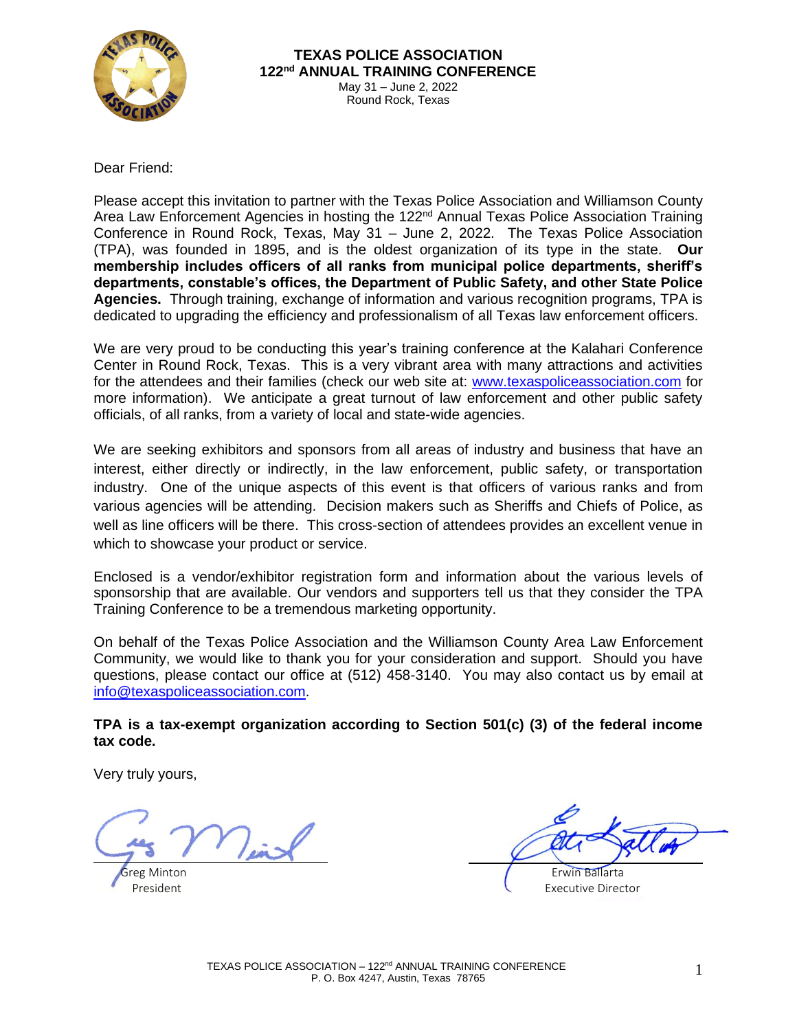

Dear Friend:

Please accept this invitation to partner with the Texas Police Association and Williamson County Area Law Enforcement Agencies in hosting the 122<sup>nd</sup> Annual Texas Police Association Training Conference in Round Rock, Texas, May 31 – June 2, 2022. The Texas Police Association (TPA), was founded in 1895, and is the oldest organization of its type in the state. **Our membership includes officers of all ranks from municipal police departments, sheriff's departments, constable's offices, the Department of Public Safety, and other State Police Agencies.** Through training, exchange of information and various recognition programs, TPA is dedicated to upgrading the efficiency and professionalism of all Texas law enforcement officers.

We are very proud to be conducting this year's training conference at the Kalahari Conference Center in Round Rock, Texas. This is a very vibrant area with many attractions and activities for the attendees and their families (check our web site at: [www.texaspoliceassociation.com](http://www.texaspoliceassociation.com/) for more information). We anticipate a great turnout of law enforcement and other public safety officials, of all ranks, from a variety of local and state-wide agencies.

We are seeking exhibitors and sponsors from all areas of industry and business that have an interest, either directly or indirectly, in the law enforcement, public safety, or transportation industry. One of the unique aspects of this event is that officers of various ranks and from various agencies will be attending. Decision makers such as Sheriffs and Chiefs of Police, as well as line officers will be there. This cross-section of attendees provides an excellent venue in which to showcase your product or service.

Enclosed is a vendor/exhibitor registration form and information about the various levels of sponsorship that are available. Our vendors and supporters tell us that they consider the TPA Training Conference to be a tremendous marketing opportunity.

On behalf of the Texas Police Association and the Williamson County Area Law Enforcement Community, we would like to thank you for your consideration and support. Should you have questions, please contact our office at (512) 458-3140. You may also contact us by email at [info@texaspoliceassociation.com.](mailto:info@texaspoliceassociation.com)

#### **TPA is a tax-exempt organization according to Section 501(c) (3) of the federal income tax code.**

Very truly yours,

**Greg Minton Calcular Contract Contract Contract Contract Contract Contract Contract Contract Contract Contract Contract Contract Contract Contract Contract Contract Contract Contract Contract Contract Contract Contract** 

President Executive Director **Contracts and Contracts and Contracts and Contracts and Contracts and Contracts and Contracts and Contracts and Contracts and Contracts and Contracts and Contracts and Contracts and Contracts**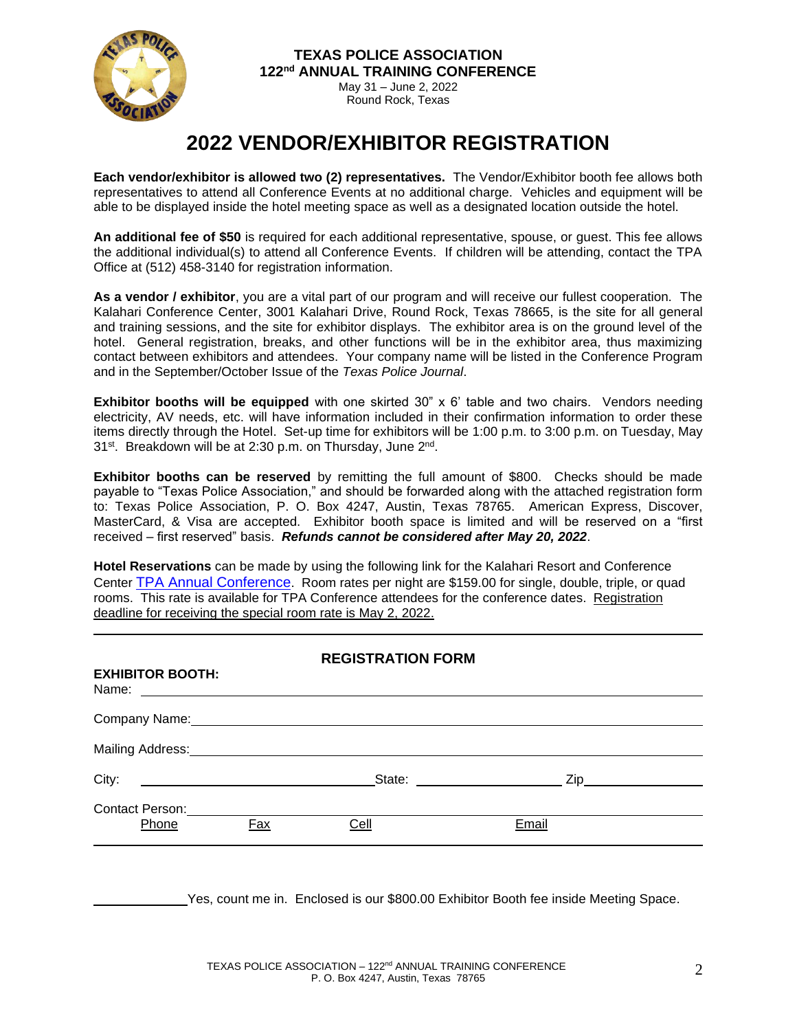

# **2022 VENDOR/EXHIBITOR REGISTRATION**

**Each vendor/exhibitor is allowed two (2) representatives.** The Vendor/Exhibitor booth fee allows both representatives to attend all Conference Events at no additional charge. Vehicles and equipment will be able to be displayed inside the hotel meeting space as well as a designated location outside the hotel.

**An additional fee of \$50** is required for each additional representative, spouse, or guest. This fee allows the additional individual(s) to attend all Conference Events. If children will be attending, contact the TPA Office at (512) 458-3140 for registration information.

**As a vendor / exhibitor**, you are a vital part of our program and will receive our fullest cooperation. The Kalahari Conference Center, 3001 Kalahari Drive, Round Rock, Texas 78665, is the site for all general and training sessions, and the site for exhibitor displays. The exhibitor area is on the ground level of the hotel. General registration, breaks, and other functions will be in the exhibitor area, thus maximizing contact between exhibitors and attendees. Your company name will be listed in the Conference Program and in the September/October Issue of the *Texas Police Journal*.

**Exhibitor booths will be equipped** with one skirted 30" x 6' table and two chairs. Vendors needing electricity, AV needs, etc. will have information included in their confirmation information to order these items directly through the Hotel. Set-up time for exhibitors will be 1:00 p.m. to 3:00 p.m. on Tuesday, May 31<sup>st</sup>. Breakdown will be at 2:30 p.m. on Thursday, June 2<sup>nd</sup>.

**Exhibitor booths can be reserved** by remitting the full amount of \$800. Checks should be made payable to "Texas Police Association," and should be forwarded along with the attached registration form to: Texas Police Association, P. O. Box 4247, Austin, Texas 78765. American Express, Discover, MasterCard, & Visa are accepted. Exhibitor booth space is limited and will be reserved on a "first received – first reserved" basis. *Refunds cannot be considered after May 20, 2022*.

**Hotel Reservations** can be made by using the following link for the Kalahari Resort and Conference Center [TPA Annual Conference](https://book.passkey.com/e/50275518). Room rates per night are \$159.00 for single, double, triple, or quad rooms. This rate is available for TPA Conference attendees for the conference dates. Registration deadline for receiving the special room rate is May 2, 2022.

| <b>REGISTRATION FORM</b>                               |     |                                                                                                                                                                                                                               |       |
|--------------------------------------------------------|-----|-------------------------------------------------------------------------------------------------------------------------------------------------------------------------------------------------------------------------------|-------|
| <b>EXHIBITOR BOOTH:</b>                                |     | Name: Name: 2008. And 2008. And 2008. And 2008. And 2008. And 2008. And 2008. And 2008. And 2008. And 2008. And 2008. And 2008. And 2008. And 2008. And 2008. And 2008. And 2008. And 2008. And 2008. And 2008. And 2008. And |       |
|                                                        |     |                                                                                                                                                                                                                               |       |
|                                                        |     |                                                                                                                                                                                                                               |       |
| City:<br><u> 1980 - Andrea Andrew Maria (h. 1980).</u> |     | State: _______________________                                                                                                                                                                                                |       |
| Contact Person: Contact Person:<br>Phone               | Fax | Cell                                                                                                                                                                                                                          | Email |
|                                                        |     |                                                                                                                                                                                                                               |       |

Yes, count me in. Enclosed is our \$800.00 Exhibitor Booth fee inside Meeting Space.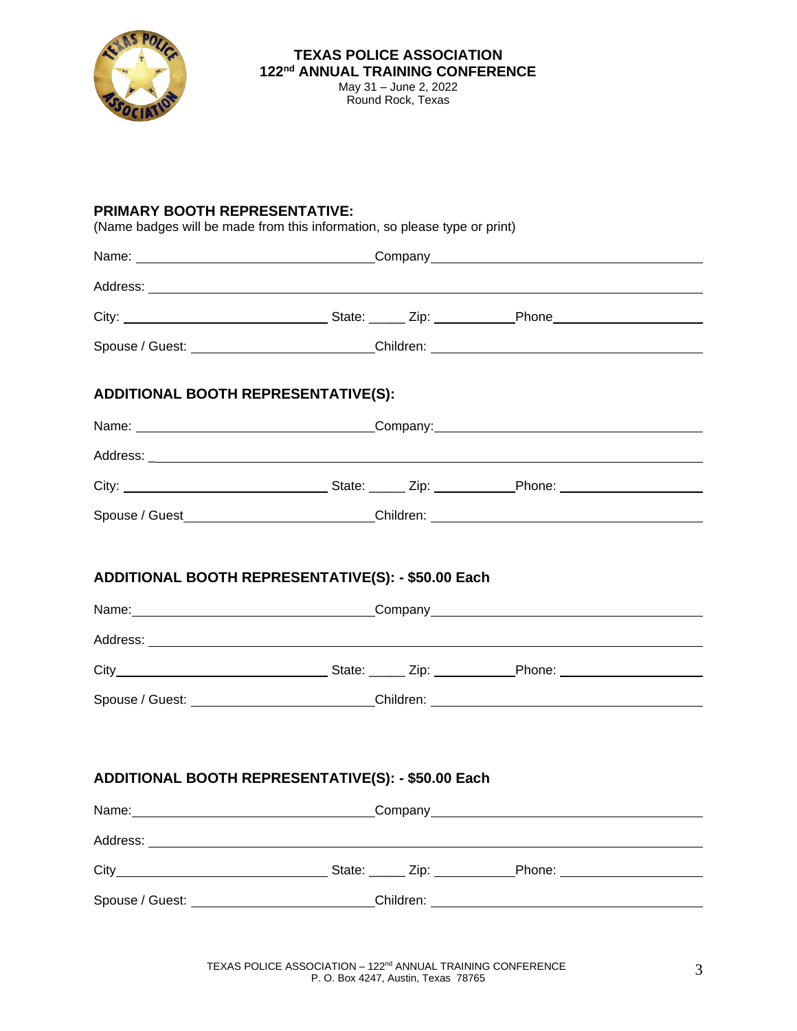

#### **PRIMARY BOOTH REPRESENTATIVE:**

(Name badges will be made from this information, so please type or print)

| Spouse / Guest: __________________________Children: ____________________________  |  |  |
|-----------------------------------------------------------------------------------|--|--|
| ADDITIONAL BOOTH REPRESENTATIVE(S):                                               |  |  |
|                                                                                   |  |  |
|                                                                                   |  |  |
|                                                                                   |  |  |
| Spouse / Guest______________________________Children: __________________________  |  |  |
| ADDITIONAL BOOTH REPRESENTATIVE(S): - \$50.00 Each                                |  |  |
| Spouse / Guest: Children: Children: Children:                                     |  |  |
| ADDITIONAL BOOTH REPRESENTATIVE(S): - \$50.00 Each                                |  |  |
|                                                                                   |  |  |
|                                                                                   |  |  |
|                                                                                   |  |  |
| Spouse / Guest: ___________________________Children: ____________________________ |  |  |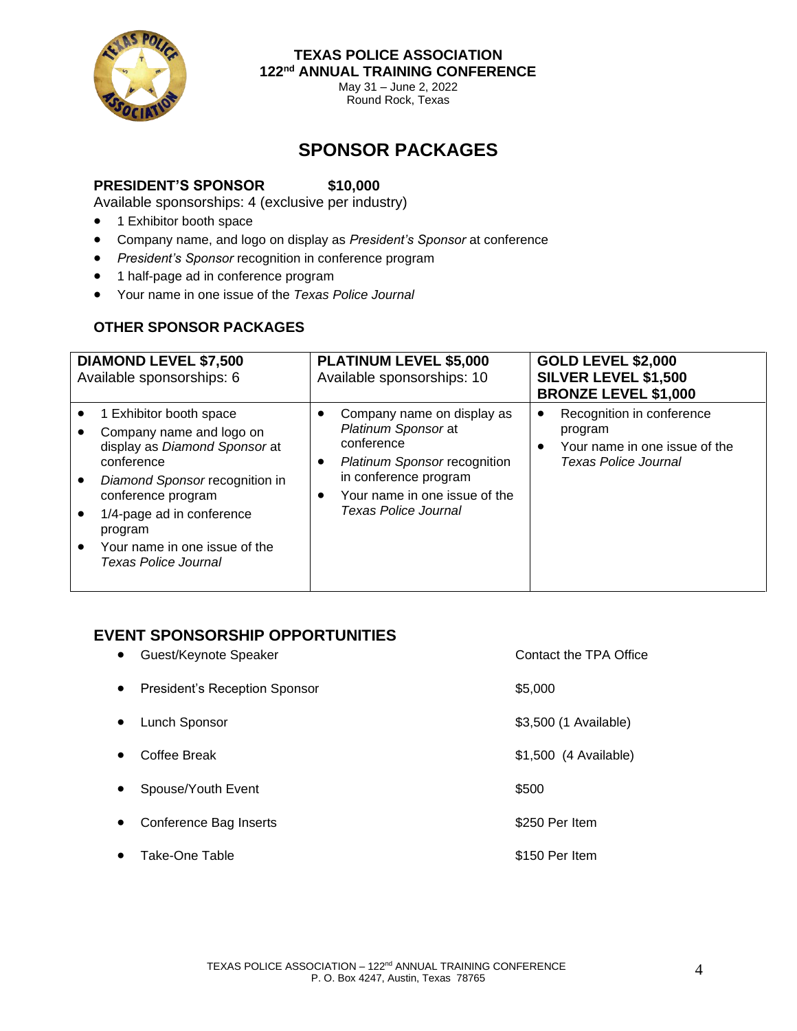

**TEXAS POLICE ASSOCIATION 122nd ANNUAL TRAINING CONFERENCE**

> May 31 – June 2, 2022 Round Rock, Texas

# **SPONSOR PACKAGES**

#### **PRESIDENT'S SPONSOR \$10,000**

Available sponsorships: 4 (exclusive per industry)

- 1 Exhibitor booth space
- Company name, and logo on display as *President's Sponsor* at conference
- *President's Sponsor* recognition in conference program
- 1 half-page ad in conference program
- Your name in one issue of the *Texas Police Journal*

### **OTHER SPONSOR PACKAGES**

| <b>DIAMOND LEVEL \$7,500</b><br>Available sponsorships: 6                                                                                                                                                                                                   | <b>PLATINUM LEVEL \$5,000</b><br>Available sponsorships: 10                                                                                                                              | <b>GOLD LEVEL \$2,000</b><br><b>SILVER LEVEL \$1,500</b><br><b>BRONZE LEVEL \$1,000</b>                         |
|-------------------------------------------------------------------------------------------------------------------------------------------------------------------------------------------------------------------------------------------------------------|------------------------------------------------------------------------------------------------------------------------------------------------------------------------------------------|-----------------------------------------------------------------------------------------------------------------|
| 1 Exhibitor booth space<br>Company name and logo on<br>display as Diamond Sponsor at<br>conference<br>Diamond Sponsor recognition in<br>conference program<br>1/4-page ad in conference<br>program<br>Your name in one issue of the<br>Texas Police Journal | Company name on display as<br>Platinum Sponsor at<br>conference<br><b>Platinum Sponsor recognition</b><br>in conference program<br>Your name in one issue of the<br>Texas Police Journal | Recognition in conference<br>٠<br>program<br>Your name in one issue of the<br>$\bullet$<br>Texas Police Journal |

### **EVENT SPONSORSHIP OPPORTUNITIES**

| $\bullet$ | Guest/Keynote Speaker                | <b>Contact the TPA Office</b> |
|-----------|--------------------------------------|-------------------------------|
| $\bullet$ | <b>President's Reception Sponsor</b> | \$5,000                       |
| $\bullet$ | Lunch Sponsor                        | \$3,500 (1 Available)         |
| $\bullet$ | Coffee Break                         | \$1,500 (4 Available)         |
| $\bullet$ | Spouse/Youth Event                   | \$500                         |
| $\bullet$ | Conference Bag Inserts               | \$250 Per Item                |
| $\bullet$ | Take-One Table                       | \$150 Per Item                |